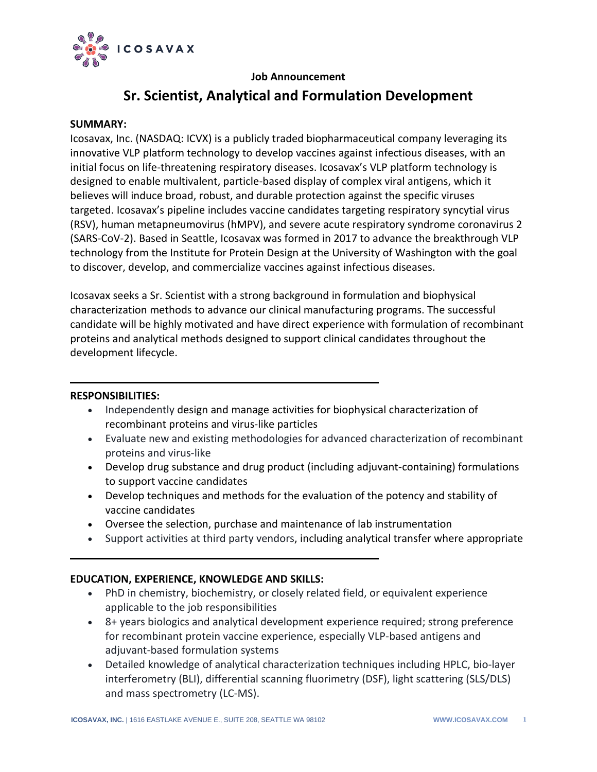

# **Job Announcement**

# **Sr. Scientist, Analytical and Formulation Development**

## **SUMMARY:**

Icosavax, Inc. (NASDAQ: ICVX) is a publicly traded biopharmaceutical company leveraging its innovative VLP platform technology to develop vaccines against infectious diseases, with an initial focus on life-threatening respiratory diseases. Icosavax's VLP platform technology is designed to enable multivalent, particle-based display of complex viral antigens, which it believes will induce broad, robust, and durable protection against the specific viruses targeted. Icosavax's pipeline includes vaccine candidates targeting respiratory syncytial virus (RSV), human metapneumovirus (hMPV), and severe acute respiratory syndrome coronavirus 2 (SARS-CoV-2). Based in Seattle, Icosavax was formed in 2017 to advance the breakthrough VLP technology from the Institute for Protein Design at the University of Washington with the goal to discover, develop, and commercialize vaccines against infectious diseases.

Icosavax seeks a Sr. Scientist with a strong background in formulation and biophysical characterization methods to advance our clinical manufacturing programs. The successful candidate will be highly motivated and have direct experience with formulation of recombinant proteins and analytical methods designed to support clinical candidates throughout the development lifecycle.

#### **RESPONSIBILITIES:**

- Independently design and manage activities for biophysical characterization of recombinant proteins and virus-like particles
- Evaluate new and existing methodologies for advanced characterization of recombinant proteins and virus-like
- Develop drug substance and drug product (including adjuvant-containing) formulations to support vaccine candidates
- Develop techniques and methods for the evaluation of the potency and stability of vaccine candidates
- Oversee the selection, purchase and maintenance of lab instrumentation
- Support activities at third party vendors, including analytical transfer where appropriate

# **EDUCATION, EXPERIENCE, KNOWLEDGE AND SKILLS:**

- PhD in chemistry, biochemistry, or closely related field, or equivalent experience applicable to the job responsibilities
- 8+ years biologics and analytical development experience required; strong preference for recombinant protein vaccine experience, especially VLP-based antigens and adjuvant-based formulation systems
- Detailed knowledge of analytical characterization techniques including HPLC, bio-layer interferometry (BLI), differential scanning fluorimetry (DSF), light scattering (SLS/DLS) and mass spectrometry (LC-MS).